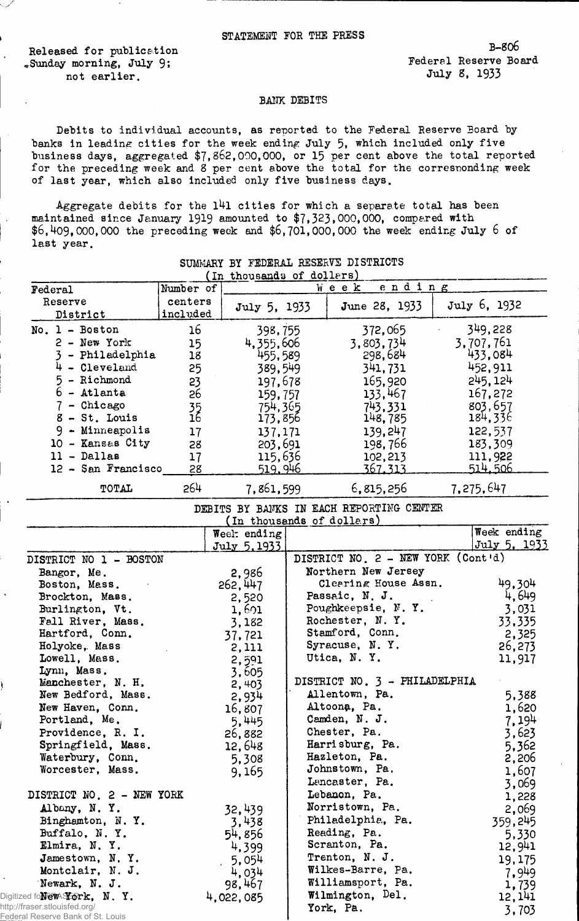Released for publication<br>
Sunday morning, July 9:<br>
Sunday morning, July 9: %Sunday morning, July 9; Federal Reserve Board Reserve Board Reserve Board Reserve Board Reserve Board Reserve<br>motional reserve Board Reserve Board Reserve Board Reserve Board Reserve Board Reserve not earlier.

س<br>محمد بازيا

## BANK DEBITS

Debits to individual accounts, as reported to the Federal Reserve Board by banks in leading cities for the week ending July 5, which included only five business days, aggregated \$7 ,862,000,000, or 15 per cent above the total reported for the preceding week and 8 per cent above the total for the corresponding week of last year, which also included only five business days.

Aggregate debits for the  $141$  cities for which a separate total has been maintained since January 1919 amounted to \$7,323,000,000, compared with  $$6,409,000,000$  the preceding week and  $$6,701,000,000$  the week ending July 6 of last year.

| Federal                            | Number of       | (In chonsemes of gotters)                 | ending<br>Week                           |              |
|------------------------------------|-----------------|-------------------------------------------|------------------------------------------|--------------|
| Reserve                            | centers         |                                           |                                          |              |
| District                           | included        | July 5, 1933                              | June 28, 1933                            | July 6, 1932 |
| $No. 1 - Boston$                   | 16              | 398,755                                   | 372,065                                  | 349,228      |
| $2 - New York$                     | 15              | 4,355,606                                 | 3,803,734                                | 3,707,761    |
| 3 - Philadelphia                   | 18              | 455,589                                   | 298,684                                  | 433,084      |
| $4 - C1$ eveland                   | 25              | 389,549                                   | 341,731                                  | 452,911      |
| 5 - Richmond                       | 23              | 197,678                                   | 165,920                                  | 245, 124     |
| $6 -$ Atlanta                      | 26              | 159,757                                   | 133,467                                  | 167,272      |
| $7 -$ Chicago                      |                 | 754,365                                   | 743,331                                  | 803,657      |
| 8 - St. Louis                      | $\frac{35}{16}$ | 173,856                                   | 148,785                                  | 184,336      |
| $9 -$ Minneapolis                  | 17              | 137,171                                   | 139,247                                  | 122,537      |
| 10 - Kansas City                   | 28              | 203,691                                   | 198,766                                  | 183,309      |
| $11 - Dallas$                      | 17              | 115,636                                   | 102, 213                                 | 111,922      |
| 12 - San Francisco                 | 28              | <u>519, 946</u>                           | <u>367.313</u>                           | 514.506      |
|                                    |                 |                                           |                                          |              |
| TOTAL                              | 264             | 7,861,599                                 | 6,815,256                                | 7,275,647    |
|                                    |                 |                                           | DEBITS BY BANKS IN EACH REPORTING CENTER |              |
|                                    |                 | (In thousands of dollars)<br>Weel: ending |                                          | Week ending  |
|                                    |                 | July 5, 1933                              |                                          | July 5, 1933 |
| DISTRICT NO 1 - BOSTON             |                 |                                           | DISTRICT NO. 2 - NEW YORK (Cont'd)       |              |
| Bangor, Me.                        |                 | 2,986                                     | Northern New Jersey                      |              |
| Boston, Mass.                      |                 | 262, 447                                  | Clearing House Assn.                     | 49.304       |
| Brockton, Mass.                    |                 | 2,520                                     | Passaic, N. J.                           | 4,649        |
| Burlington, Vt.                    |                 | 1,601                                     | Poughkeepsie, N.Y.                       | 3,031        |
| Fall River, Mass.                  |                 | 3,182                                     | Rochester, N.Y.                          | 33,335       |
| Hartford, Conn.                    |                 | 37,721                                    | Stamford, Conn.                          | 2,325        |
| Holyoke, Mass                      |                 |                                           | Syracuse, N.Y.                           | 26,273       |
| Lowell, Mass.                      |                 | 2,111                                     | Utica, N.Y.                              | 11,917       |
| Lynn, Mass.                        |                 | 2,591<br>3,605                            |                                          |              |
| Manchester, N. H.                  |                 | 2, 403                                    | DISTRICT NO. 3 - PHILADELPHIA            |              |
| New Bedford, Mass.                 |                 | 2,934                                     | Allentown, Pa.                           | 5,388        |
| New Haven, Conn.                   |                 | 16,807                                    | Altoona, Pa.                             | 1,620        |
| Portland, Me.                      |                 | 5,445                                     | Camden, N. J.                            | 7,194        |
| Providence, R. I.                  |                 | 26,882                                    | Chester, Pa.                             | 3,623        |
| Springfield, Mass.                 |                 | 12,648                                    | Harrisburg, Pa.                          | 5,362        |
| Waterbury, Conn.                   |                 | 5,308                                     | Hazleton, Pa.                            | 2,206        |
| Worcester, Mass.                   |                 | 9,165                                     | Johnstown, Pa.                           | 1,607        |
|                                    |                 |                                           | Lancaster, Pa.                           | 3,069        |
| DISTRICT NO. 2 - NEW YORK          |                 |                                           | Lebanon, Pa.                             | 1,228        |
| Albany, N.Y.                       |                 | 32,439                                    | Norristown, Pa.                          | 2,069        |
| Binghamton, N.Y.                   |                 | 3,438                                     | Philadelphia, Pa.                        | 359,245      |
| Buffalo, N.Y.                      |                 | 54,856                                    | Reading, Pa.                             | 5,330        |
| Elmira, N.Y.                       |                 | 4,399                                     | Scranton, Pa.                            | 12,941       |
| Jamestown, N.Y.                    |                 | 5,054                                     | Trenton, N. J.                           | 19,175       |
| Montclair, N. J.                   |                 | 4,034                                     | Wilkes-Barre, Pa.                        | 7,949        |
| Newark, N. J.                      |                 | 98,467                                    | Williamsport, Pa.                        | 1,739        |
| Digitized fo <b>New York, N.Y.</b> |                 | 4,022,085                                 | Wilmington, Del.                         | 12, 141      |
| http://fraser.stlouisfed.org/      |                 |                                           | York, Pa.                                |              |
| Federal Reserve Bank of St. Louis  |                 |                                           |                                          | 3,703        |

SUMMARY BY FEDERAL RESERVE DISTRICTS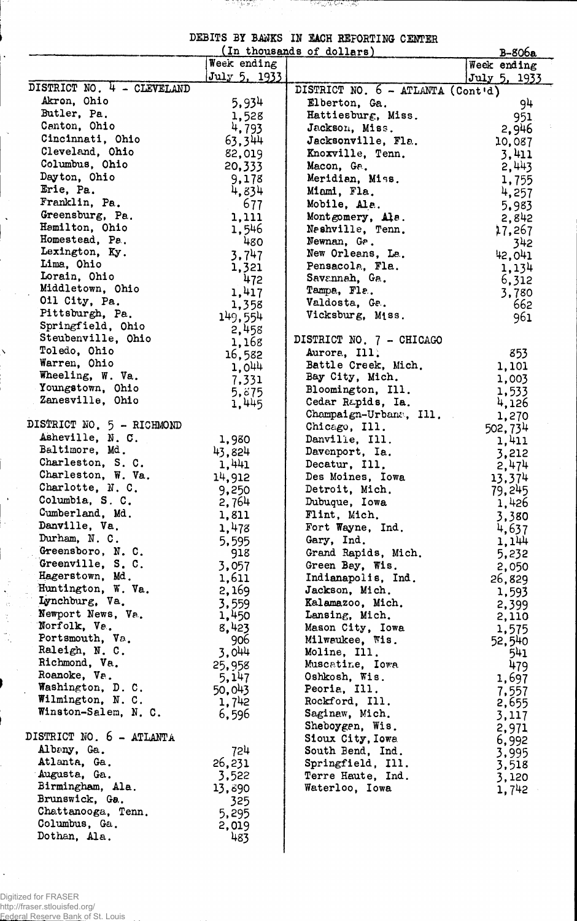DEBITS BY BANKS IN EACH REPORTING CENTER

<u>an india an an an isan an </u>

|                                         |                      | (In thousands of dollars)            | $B-806a$        |
|-----------------------------------------|----------------------|--------------------------------------|-----------------|
|                                         | Week ending          |                                      | Week ending     |
| DISTRICT NO. 4 - CLEVELAND              | July 5, 1933         |                                      | July 5, 1933    |
| Akron, Ohio                             |                      | DISTRICT NO. 6 - ATLANTA (Cont'd)    |                 |
| Butler, Pa.                             | 5,934                | Elberton, Ga.                        | 94              |
| Canton, Ohio                            | 1,528<br>4,793       | Hattiesburg, Miss.<br>Jackson, Miss. | 951             |
| Cincinnati, Ohio                        | 63,344               | Jacksonville, Fla.                   | 2,946<br>10,087 |
| Cleveland, Ohio                         | 82,019               | Knoxville, Tenn.                     | 3,411           |
| Columbus, Ohio                          | 20,333               | Macon, Ga.                           | 2,443           |
| Dayton, Ohio                            | 9,178                | Meridian, Miss.                      | 1,755           |
| Erie, Pa.                               | 4,834                | Miami, Fla.                          | 4,257           |
| Franklin, Pa.                           | 677                  | Mobile, Ala.                         | 5,983           |
| Greensburg, Pa.                         | 1,111                | Montgomery, Ala.                     | 2,842           |
| Hamilton, Ohio                          | 1,546                | Neshville, Tenn.                     | 17,267          |
| Homestead, Pa.                          | 480                  | Newnan, Ga.                          | 342             |
| Lexington, Ky.                          | 3,747                | New Orleans, La.                     | 42,041          |
| Lima, Ohio                              | 1,321                | Pensacola, Fla.                      | 1,134           |
| Lorain, Ohio                            | 472                  | Savannah, Ga.                        | 6,312           |
| Middletown, Ohio                        | 1,417                | Tampa, Fla.                          | 3,780           |
| Oil City, Pa.<br>Pittsburgh, Pa.        | 1,358                | Valdosta, Ga.                        | 662             |
| Springfield, Ohio                       | 149,554              | Vicksburg, Miss.                     | 961             |
| Steubenville, Ohio                      | 2,458                | DISTRICT NO. 7 - CHICAGO             |                 |
| Toledo, Ohio                            | 1,168                | Aurora, Ill.                         | 853             |
| Warren, Ohio                            | 16,582<br>$1,0^{44}$ | Battle Creek, Mich.                  | 1,101           |
| Wheeling, W. Va.                        | 7,331                | Bay City, Mich.                      | 1,003           |
| Youngstown, Ohio                        | 5,675                | Bloomington, Ill.                    | 1,533           |
| Zanesville, Ohio                        | 1,445                | Cedar Rapids, Ia.                    | 4,126           |
|                                         |                      | Champaign-Urbana, Ill.               | 1,270           |
| DISTRICT NO. 5 - RICHMOND               |                      | Chicago, Ill.                        | 502,734         |
| Asheville, N. C.                        | 1,980                | Danville, Ill.                       | 1,411           |
| Baltimore, Md.                          | 43.824               | Davenport, Ia.                       | 3,212           |
| Charleston, S. C.<br>Charleston, W. Va. | 1,441                | Decatur, Ill.                        | 2,474           |
| Charlotte, N. C.                        | 14,912               | Des Moines, Iowa                     | 13,374          |
| Columbia, S. C.                         | 9,250<br>2,764       | Detroit, Mich.<br>Dubuque, Iowa      | 79,245          |
| Cumberland, Md.                         | 1,811                | Flint, Mich.                         | 1,426           |
| Danville, Va.                           | 1,478                | Fort Wayne, Ind.                     | 3,380<br>4,637  |
| Durham, N. C.                           | 5,595                | Gary, Ind.                           | 1,144           |
| Greensboro, N. C.                       | 918                  | Grand Rapids, Mich.                  | 5,232           |
| Greenville, S.C.                        | 3,057                | Green Bay, Wis.                      | 2,050           |
| Hagerstown, Md.                         | 1,611                | Indianapolis, Ind.                   | 26,829          |
| Huntington, W. Va.                      | 2,169                | Jackson, Mich.                       | 1,593           |
| Lynchburg, Va.                          | 3,559                | Kalamazoo, Mich.                     | 2,399           |
| Newport News, Va.                       | 1,450                | Lansing, Mich.                       | 2,110           |
| Norfolk, Ve.                            | 8,423                | Mason City, Iowa                     | 1,575           |
| Portsmouth, Va.<br>Raleigh, N. C.       | 906                  | Milwaukee, Wis.                      | 52,540          |
| Richmond, Va.                           | 3,044<br>25,958      | Moline, Ill.<br>Muscatine, Iowa      | 541<br>479      |
| Roanoke, Va.                            | 5,147                | Oshkosh, Wis.                        | 1,697           |
| Washington, D. C.                       | 50,043               | Peoria, Ill.                         | 7,557           |
| Wilmington, N.C.                        | 1,742                | Rockford, Ill.                       | 2,655           |
| Winston-Salem, N. C.                    | 6,596                | Saginaw, Mich.                       | 3,117           |
|                                         |                      | Sheboygen, Wis.                      | 2,971           |
| DISTRICT NO. 6 - ATLANTA                |                      | Sioux City, Iowa                     | 6,992           |
| Albany, Ga.                             | 724                  | South Bend, Ind.                     | 3,995           |
| Atlanta, Ga.                            | 26,231               | Springfield, Ill.                    | 3,518           |
| Augusta, Ga.<br>Birmingham, Ala.        | 3,522                | Terre Haute, Ind.                    | 3,120           |
| Brunswick, Ga.                          | 13,890               | Waterloo, Iowa                       | 1,742           |
| Chattanooga, Tenn.                      | 325<br>5,295         |                                      |                 |
| Columbus, Ga.                           | 2,019                |                                      |                 |
| Dothan, Ala.                            | 483                  |                                      |                 |

 $\overline{\phantom{a}}$ 

Digitized for FRASER http://fraser.stlouisfed.org/ Federal Reserve Bank of St. Louis

 $\ddot{\gamma}$ 

 $\ddot{\phantom{0}}$ 

÷.

 $\ddot{\phantom{1}}$ 

Î

 $\ddot{\cdot}$ 

 $\frac{1}{3}$  $\frac{1}{\sqrt{2}}$ 

 $\bar{\beta}$ 

 $\downarrow$